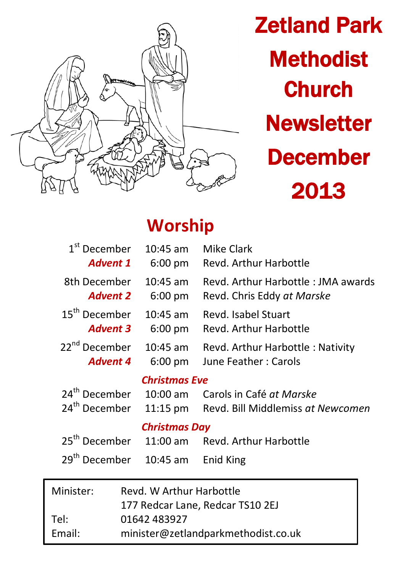

Zetland Park **Methodist Church Newsletter** December 2013

# **Worship**

Email: minister@zetlandparkmethodist.co.uk

| $1st$ December<br><b>Advent 1</b>                                             | $10:45$ am<br>$6:00 \text{ pm}$ | Mike Clark<br>Revd. Arthur Harbottle                             |  |  |
|-------------------------------------------------------------------------------|---------------------------------|------------------------------------------------------------------|--|--|
| 8th December<br><b>Advent 2</b>                                               | 10:45 am<br>6:00 pm             | Revd. Arthur Harbottle: JMA awards<br>Revd. Chris Eddy at Marske |  |  |
| 15 <sup>th</sup> December<br><b>Advent 3</b>                                  | $10:45$ am<br>$6:00 \text{ pm}$ | Revd. Isabel Stuart<br>Revd. Arthur Harbottle                    |  |  |
| 22 <sup>nd</sup> December<br>10:45 am<br><b>Advent 4</b><br>$6:00 \text{ pm}$ |                                 | Revd. Arthur Harbottle: Nativity<br>June Feather: Carols         |  |  |
| <b>Christmas Eve</b>                                                          |                                 |                                                                  |  |  |
| 24 <sup>th</sup> December                                                     | $10:00$ am                      | Carols in Café at Marske                                         |  |  |
| 24 <sup>th</sup> December                                                     |                                 | 11:15 pm Revd. Bill Middlemiss at Newcomen                       |  |  |
|                                                                               | <b>Christmas Day</b>            |                                                                  |  |  |
| 25 <sup>th</sup> December                                                     |                                 | 11:00 am Revd. Arthur Harbottle                                  |  |  |
| 29 <sup>th</sup> December                                                     | $10:45$ am                      | Enid King                                                        |  |  |
| Minister:                                                                     | Revd. W Arthur Harbottle        | 177 Redcar Lane, Redcar TS10 2EJ                                 |  |  |
| Tel:                                                                          | 01642 483927                    |                                                                  |  |  |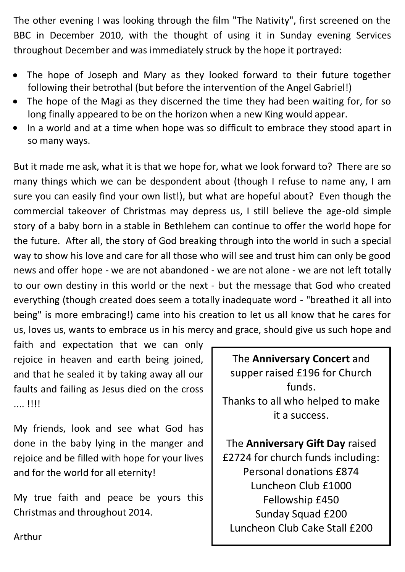The other evening I was looking through the film "The Nativity", first screened on the BBC in December 2010, with the thought of using it in Sunday evening Services throughout December and was immediately struck by the hope it portrayed:

- The hope of Joseph and Mary as they looked forward to their future together following their betrothal (but before the intervention of the Angel Gabriel!)
- The hope of the Magi as they discerned the time they had been waiting for, for so long finally appeared to be on the horizon when a new King would appear.
- In a world and at a time when hope was so difficult to embrace they stood apart in so many ways.

But it made me ask, what it is that we hope for, what we look forward to? There are so many things which we can be despondent about (though I refuse to name any, I am sure you can easily find your own list!), but what are hopeful about? Even though the commercial takeover of Christmas may depress us, I still believe the age-old simple story of a baby born in a stable in Bethlehem can continue to offer the world hope for the future. After all, the story of God breaking through into the world in such a special way to show his love and care for all those who will see and trust him can only be good news and offer hope - we are not abandoned - we are not alone - we are not left totally to our own destiny in this world or the next - but the message that God who created everything (though created does seem a totally inadequate word - "breathed it all into being" is more embracing!) came into his creation to let us all know that he cares for us, loves us, wants to embrace us in his mercy and grace, should give us such hope and

faith and expectation that we can only rejoice in heaven and earth being joined, and that he sealed it by taking away all our faults and failing as Jesus died on the cross .... !!!!

My friends, look and see what God has done in the baby lying in the manger and rejoice and be filled with hope for your lives and for the world for all eternity!

My true faith and peace be yours this Christmas and throughout 2014.

The **Anniversary Concert** and supper raised £196 for Church funds. Thanks to all who helped to make it a success.

The **Anniversary Gift Day** raised £2724 for church funds including: Personal donations £874 Luncheon Club £1000 Fellowship £450 Sunday Squad £200 Luncheon Club Cake Stall £200

Arthur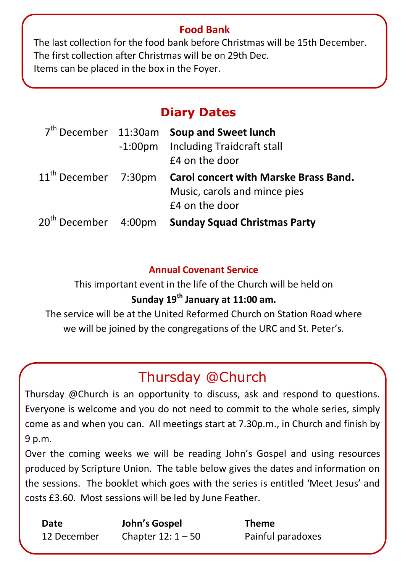#### **Food Bank**

The last collection for the food bank before Christmas will be 15th December. The first collection after Christmas will be on 29th Dec. Items can be placed in the box in the Foyer.

# **Diary Dates**

|                                  | 7 <sup>th</sup> December 11:30am Soup and Sweet lunch<br>-1:00pm Including Traidcraft stall<br>£4 on the door |
|----------------------------------|---------------------------------------------------------------------------------------------------------------|
| 11 <sup>th</sup> December 7:30pm | <b>Carol concert with Marske Brass Band.</b><br>Music, carols and mince pies<br>£4 on the door                |
| 20 <sup>th</sup> December 4:00pm | <b>Sunday Squad Christmas Party</b>                                                                           |

#### **Annual Covenant Service**

This important event in the life of the Church will be held on **Sunday 19th January at 11:00 am.** 

The service will be at the United Reformed Church on Station Road where we will be joined by the congregations of the URC and St. Peter's.

# Thursday @Church

Thursday @Church is an opportunity to discuss, ask and respond to questions. Everyone is welcome and you do not need to commit to the whole series, simply come as and when you can. All meetings start at 7.30p.m., in Church and finish by 9 p.m.

Over the coming weeks we will be reading John's Gospel and using resources produced by Scripture Union. The table below gives the dates and information on the sessions. The booklet which goes with the series is entitled 'Meet Jesus' and costs £3.60. Most sessions will be led by June Feather.

| Date        | John's Gospel       | <b>Theme</b>      |
|-------------|---------------------|-------------------|
| 12 December | Chapter $12:1 - 50$ | Painful paradoxes |